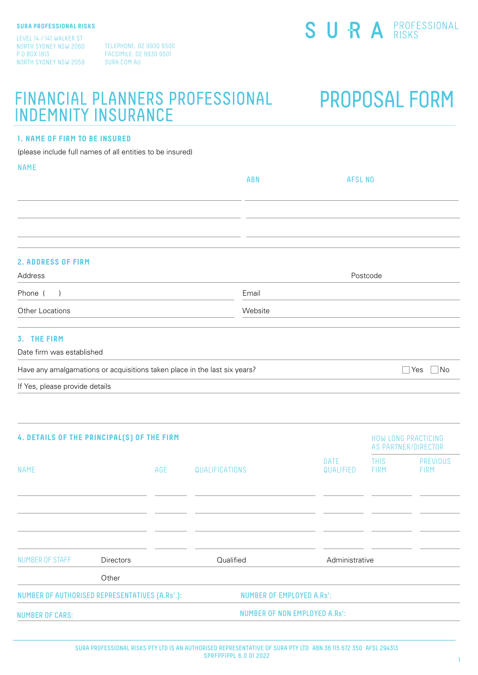LEVEL 14 / 141 WALKER ST NORTH SYDNEY NSW 2060 P O BOX 1813 NORTH SYDNEY NSW 2059

TELEPHONE. 02 9930 9500 FACSIMILE. 02 9930 9501 SURA.COM.AU

## FINANCIAL PLANNERS PROFESSIONAL PROPOSAL FORM INDEMNITY INSURANCE

#### **1. NAME OF FIRM TO BE INSURED**

(please include full names of all entities to be insured)

| <b>NAME</b>                                                               | ABN     | <b>AFSL NO</b> |    |
|---------------------------------------------------------------------------|---------|----------------|----|
|                                                                           |         |                |    |
|                                                                           |         |                |    |
|                                                                           |         |                |    |
|                                                                           |         |                |    |
| <b>2. ADDRESS OF FIRM</b>                                                 |         |                |    |
| Address                                                                   |         | Postcode       |    |
| Phone $( )$                                                               | Email   |                |    |
| Other Locations                                                           | Website |                |    |
| 3. THE FIRM                                                               |         |                |    |
| Date firm was established                                                 |         |                |    |
| Have any amalgamations or acquisitions taken place in the last six years? |         | $\Box$ Yes     | No |

If Yes, please provide details

| 4. DETAILS OF THE PRINCIPAL(S) OF THE FIRM     |                  |     |                                  |                   |                            | <b>HOW LONG PRACTICING</b><br>AS PARTNER/DIRECTOR |
|------------------------------------------------|------------------|-----|----------------------------------|-------------------|----------------------------|---------------------------------------------------|
| NAME                                           |                  | AGE | QUALIFICATIONS                   | DATE<br>QUALIFIED | <b>THIS</b><br><b>FIRM</b> | PREVIOUS<br><b>FIRM</b>                           |
|                                                |                  |     |                                  |                   |                            |                                                   |
| NUMBER OF STAFF                                | <b>Directors</b> |     | Qualified                        | Administrative    |                            |                                                   |
|                                                | Other            |     |                                  |                   |                            |                                                   |
| NUMBER OF AUTHORISED REPRESENTATIVES (A.Rs'.): |                  |     | <b>NUMBER OF EMPLOYED A.Rs':</b> |                   |                            |                                                   |
| <b>NUMBER OF CARS:</b>                         |                  |     | NUMBER OF NON EMPLOYED A.Rs':    |                   |                            |                                                   |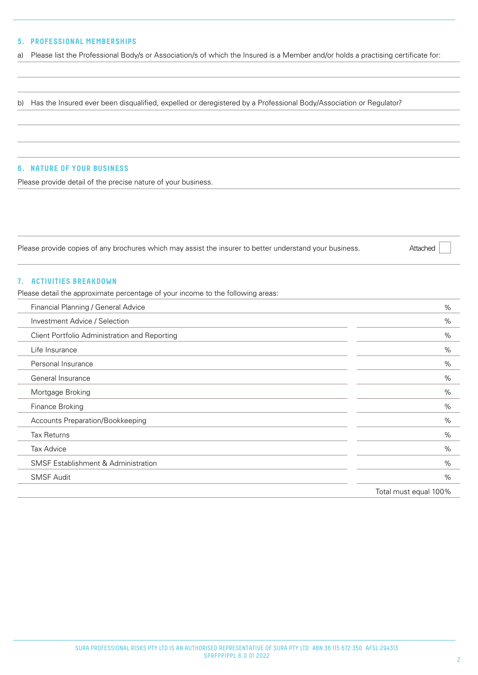#### **5. PROFESSIONAL MEMBERSHIPS**

a) Please list the Professional Body/s or Association/s of which the Insured is a Member and/or holds a practising certificate for:

b) Has the Insured ever been disqualified, expelled or deregistered by a Professional Body/Association or Regulator?

#### **6. NATURE OF YOUR BUSINESS**

Please provide detail of the precise nature of your business.

Please provide copies of any brochures which may assist the insurer to better understand your business.

#### **7. ACTIVITIES BREAKDOWN**

Please detail the approximate percentage of your income to the following areas:

| Financial Planning / General Advice            | $\%$                  |
|------------------------------------------------|-----------------------|
| Investment Advice / Selection                  | %                     |
| Client Portfolio Administration and Reporting  | %                     |
| Life Insurance                                 | %                     |
| Personal Insurance                             | %                     |
| General Insurance                              | %                     |
| Mortgage Broking                               | %                     |
| Finance Broking                                | %                     |
| Accounts Preparation/Bookkeeping               | %                     |
| <b>Tax Returns</b>                             | %                     |
| <b>Tax Advice</b>                              | %                     |
| <b>SMSF Establishment &amp; Administration</b> | %                     |
| <b>SMSF Audit</b>                              | $\%$                  |
|                                                | Total must equal 100% |

Attached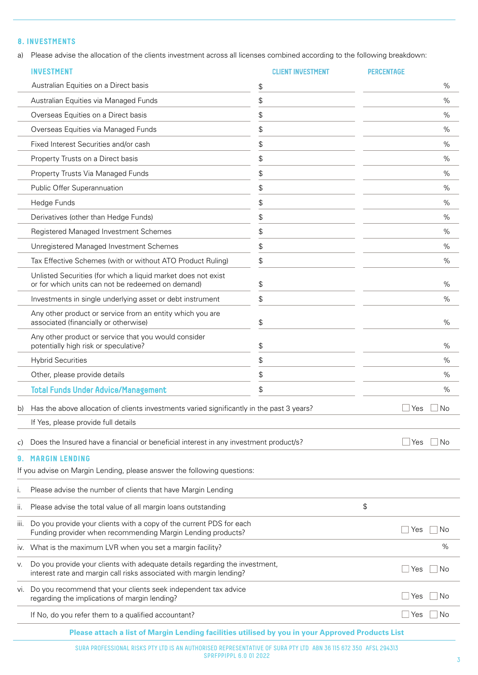#### **8. INVESTMENTS**

a) Please advise the allocation of the clients investment across all licenses combined according to the following breakdown:

|      | <b>INVESTMENT</b>                                                                                                                                  | <b>CLIENT INVESTMENT</b> | <b>PERCENTAGE</b> |      |
|------|----------------------------------------------------------------------------------------------------------------------------------------------------|--------------------------|-------------------|------|
|      | Australian Equities on a Direct basis                                                                                                              | \$                       |                   | $\%$ |
|      | Australian Equities via Managed Funds                                                                                                              | \$                       |                   | %    |
|      | Overseas Equities on a Direct basis                                                                                                                | \$                       |                   | $\%$ |
|      | Overseas Equities via Managed Funds                                                                                                                | \$                       |                   | $\%$ |
|      | Fixed Interest Securities and/or cash                                                                                                              | \$                       |                   | $\%$ |
|      | Property Trusts on a Direct basis                                                                                                                  | \$                       |                   | $\%$ |
|      | Property Trusts Via Managed Funds                                                                                                                  | \$                       |                   | %    |
|      | Public Offer Superannuation                                                                                                                        | \$                       |                   | %    |
|      | Hedge Funds                                                                                                                                        | \$                       |                   | $\%$ |
|      | Derivatives (other than Hedge Funds)                                                                                                               | \$                       |                   | $\%$ |
|      | Registered Managed Investment Schemes                                                                                                              | \$                       |                   | $\%$ |
|      | Unregistered Managed Investment Schemes                                                                                                            | \$                       |                   | $\%$ |
|      | Tax Effective Schemes (with or without ATO Product Ruling)                                                                                         | \$                       |                   | $\%$ |
|      | Unlisted Securities (for which a liquid market does not exist<br>or for which units can not be redeemed on demand)                                 | \$                       |                   | $\%$ |
|      | Investments in single underlying asset or debt instrument                                                                                          | \$                       |                   | %    |
|      | Any other product or service from an entity which you are<br>associated (financially or otherwise)                                                 | \$                       |                   | $\%$ |
|      | Any other product or service that you would consider<br>potentially high risk or speculative?                                                      | \$                       |                   | %    |
|      | <b>Hybrid Securities</b>                                                                                                                           | \$                       |                   | $\%$ |
|      | Other, please provide details                                                                                                                      | \$                       |                   | $\%$ |
|      | <b>Total Funds Under Advice/Management</b>                                                                                                         | \$                       |                   | $\%$ |
| b)   | Has the above allocation of clients investments varied significantly in the past 3 years?                                                          |                          | Yes<br>No         |      |
|      | If Yes, please provide full details                                                                                                                |                          |                   |      |
| C)   | Does the Insured have a financial or beneficial interest in any investment product/s?                                                              |                          | No<br>Yes         |      |
| 9.   | <b>MARGIN LENDING</b>                                                                                                                              |                          |                   |      |
|      | If you advise on Margin Lending, please answer the following questions:                                                                            |                          |                   |      |
| Τ.   | Please advise the number of clients that have Margin Lending                                                                                       |                          |                   |      |
| ΙΙ.  | Please advise the total value of all margin loans outstanding                                                                                      |                          | \$                |      |
| III. | Do you provide your clients with a copy of the current PDS for each<br>Funding provider when recommending Margin Lending products?                 |                          | Yes<br>No         |      |
| IV.  | What is the maximum LVR when you set a margin facility?                                                                                            |                          | %                 |      |
| V.   | Do you provide your clients with adequate details regarding the investment,<br>interest rate and margin call risks associated with margin lending? |                          | Yes<br>No         |      |
| VI.  | Do you recommend that your clients seek independent tax advice<br>regarding the implications of margin lending?                                    |                          | No<br>Yes         |      |
|      | If No, do you refer them to a qualified accountant?                                                                                                |                          | No<br>Yes         |      |
|      | Please attach a list of Margin Lending facilities utilised by you in your Approved Products List                                                   |                          |                   |      |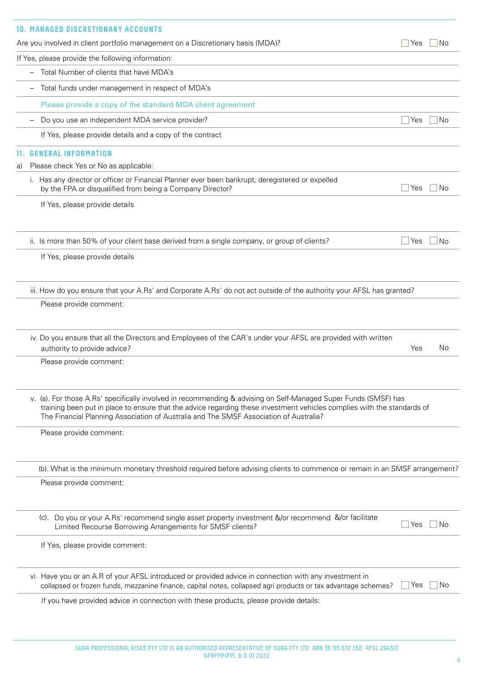|     | <b>10. MANAGED DISCRETIONARY ACCOUNTS</b>                                                                                                                                                                                                                                                                                            |     |      |
|-----|--------------------------------------------------------------------------------------------------------------------------------------------------------------------------------------------------------------------------------------------------------------------------------------------------------------------------------------|-----|------|
|     | Are you involved in client portfolio management on a Discretionary basis (MDA)?                                                                                                                                                                                                                                                      | Yes | Νo   |
|     | If Yes, please provide the following information:                                                                                                                                                                                                                                                                                    |     |      |
|     | Total Number of clients that have MDA's                                                                                                                                                                                                                                                                                              |     |      |
|     | Total funds under management in respect of MDA's                                                                                                                                                                                                                                                                                     |     |      |
|     | Please provide a copy of the standard MDA client agreement                                                                                                                                                                                                                                                                           |     |      |
|     | Do you use an independent MDA service provider?                                                                                                                                                                                                                                                                                      | Yes | No   |
|     | If Yes, please provide details and a copy of the contract                                                                                                                                                                                                                                                                            |     |      |
| 11. | <b>GENERAL INFORMATION</b>                                                                                                                                                                                                                                                                                                           |     |      |
| a)  | Please check Yes or No as applicable:                                                                                                                                                                                                                                                                                                |     |      |
|     | i. Has any director or officer or Financial Planner ever been bankrupt, deregistered or expelled<br>by the FPA or disqualified from being a Company Director?                                                                                                                                                                        | Yes | No   |
|     | If Yes, please provide details                                                                                                                                                                                                                                                                                                       |     |      |
|     | ii. Is more than 50% of your client base derived from a single company, or group of clients?                                                                                                                                                                                                                                         | Yes | No   |
|     | If Yes, please provide details                                                                                                                                                                                                                                                                                                       |     |      |
|     | iii. How do you ensure that your A.Rs' and Corporate A.Rs' do not act outside of the authority your AFSL has granted?                                                                                                                                                                                                                |     |      |
|     | Please provide comment:                                                                                                                                                                                                                                                                                                              |     |      |
|     | iv. Do you ensure that all the Directors and Employees of the CAR's under your AFSL are provided with written<br>authority to provide advice?                                                                                                                                                                                        | Yes | No   |
|     | Please provide comment:                                                                                                                                                                                                                                                                                                              |     |      |
|     | v. (a). For those A.Rs' specifically involved in recommending & advising on Self-Managed Super Funds (SMSF) has<br>training been put in place to ensure that the advice regarding these investment vehicles complies with the standards of<br>The Financial Planning Association of Australia and The SMSF Association of Australia? |     |      |
|     | Please provide comment:                                                                                                                                                                                                                                                                                                              |     |      |
|     | (b). What is the minimum monetary threshold required before advising clients to commence or remain in an SMSF arrangement?                                                                                                                                                                                                           |     |      |
|     | Please provide comment:                                                                                                                                                                                                                                                                                                              |     |      |
|     | (c). Do you or your A.Rs' recommend single asset property investment &/or recommend &/or facilitate<br>Limited Recourse Borrowing Arrangements for SMSF clients?                                                                                                                                                                     | Yes | l No |
|     | If Yes, please provide comment:                                                                                                                                                                                                                                                                                                      |     |      |
|     | vi. Have you or an A.R of your AFSL introduced or provided advice in connection with any investment in<br>collapsed or frozen funds, mezzanine finance, capital notes, collapsed agri products or tax advantage schemes?                                                                                                             | Yes | No.  |
|     | If you have provided advice in connection with these products, please provide details:                                                                                                                                                                                                                                               |     |      |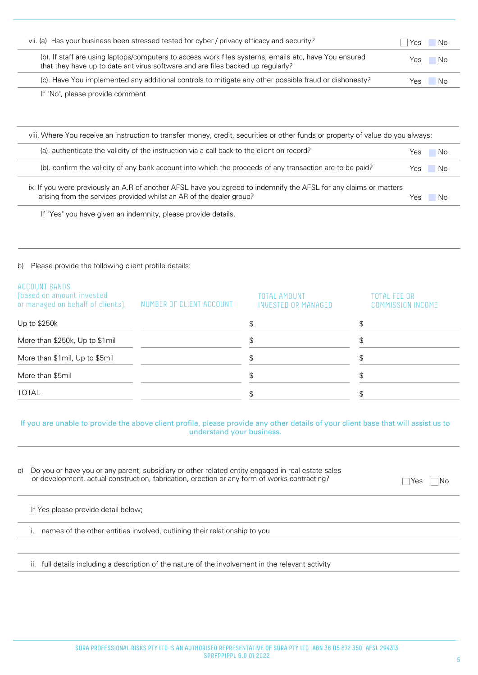| vii. (a). Has your business been stressed tested for cyber / privacy efficacy and security?                                                                                             | Yes<br>- No  |
|-----------------------------------------------------------------------------------------------------------------------------------------------------------------------------------------|--------------|
| (b). If staff are using laptops/computers to access work files systems, emails etc, have You ensured<br>that they have up to date antivirus software and are files backed up regularly? | - No<br>Yes  |
| (c). Have You implemented any additional controls to mitigate any other possible fraud or dishonesty?                                                                                   | - No<br>Yes. |

If "No", please provide comment

| viii. Where You receive an instruction to transfer money, credit, securities or other funds or property of value do you always:                                                           |      |      |  |
|-------------------------------------------------------------------------------------------------------------------------------------------------------------------------------------------|------|------|--|
| (a), authenticate the validity of the instruction via a call back to the client on record?                                                                                                | Yes. | - No |  |
| (b). confirm the validity of any bank account into which the proceeds of any transaction are to be paid?                                                                                  | Yes  | - No |  |
| ix. If you were previously an A.R of another AFSL have you agreed to indemnify the AFSL for any claims or matters<br>arising from the services provided whilst an AR of the dealer group? | Yes  | N٥   |  |

If "Yes" you have given an indemnity, please provide details.

#### b) Please provide the following client profile details:

| ACCOUNT BANDS<br>(based on amount invested<br>or managed on behalf of clients) | NUMBER OF CLIENT ACCOUNT | TOTAL AMOUNT<br>INVESTED OR MANAGED | TOTAL FEE OR<br><b>COMMISSION INCOME</b> |
|--------------------------------------------------------------------------------|--------------------------|-------------------------------------|------------------------------------------|
| Up to \$250k                                                                   |                          |                                     | S                                        |
| More than \$250k, Up to \$1mil                                                 |                          |                                     |                                          |
| More than \$1mil, Up to \$5mil                                                 |                          |                                     |                                          |
| More than \$5mil                                                               |                          |                                     | \$                                       |
| <b>TOTAL</b>                                                                   |                          |                                     |                                          |

#### If you are unable to provide the above client profile, please provide any other details of your client base that will assist us to understand your business.

| C) | Do you or have you or any parent, subsidiary or other related entity engaged in real estate sales<br>or development, actual construction, fabrication, erection or any form of works contracting? | INo<br>Yes |
|----|---------------------------------------------------------------------------------------------------------------------------------------------------------------------------------------------------|------------|
|    | If Yes please provide detail below;                                                                                                                                                               |            |
|    | names of the other entities involved, outlining their relationship to you                                                                                                                         |            |
|    |                                                                                                                                                                                                   |            |

ii. full details including a description of the nature of the involvement in the relevant activity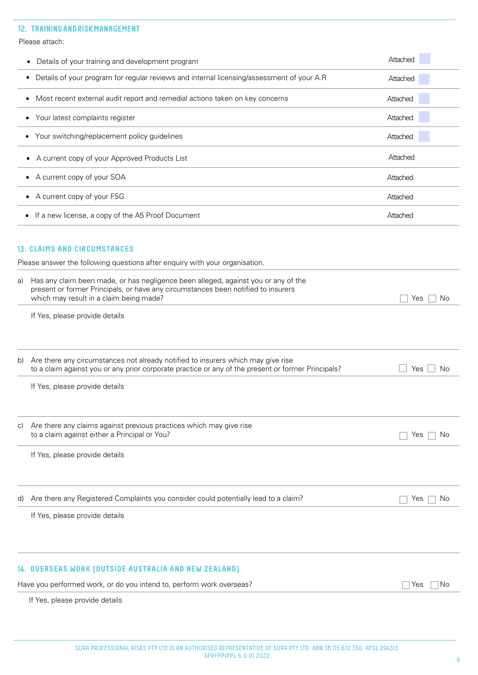#### 12. TRAINING AND RISK MANAGEMENT

|           | Please attach:                                                                                                                                                                                                                                                                                                                    |           |
|-----------|-----------------------------------------------------------------------------------------------------------------------------------------------------------------------------------------------------------------------------------------------------------------------------------------------------------------------------------|-----------|
|           | Details of your training and development program                                                                                                                                                                                                                                                                                  | Attached  |
|           | Details of your program for regular reviews and internal licensing/assessment of your A.R                                                                                                                                                                                                                                         | Attached  |
| ٠         | Most recent external audit report and remedial actions taken on key concerns                                                                                                                                                                                                                                                      | Attached  |
| $\bullet$ | Your latest complaints register                                                                                                                                                                                                                                                                                                   | Attached  |
| ٠         | Your switching/replacement policy guidelines                                                                                                                                                                                                                                                                                      | Attached  |
|           | A current copy of your Approved Products List                                                                                                                                                                                                                                                                                     | Attached  |
|           | A current copy of your SOA<br>٠                                                                                                                                                                                                                                                                                                   | Attached  |
|           | A current copy of your FSG                                                                                                                                                                                                                                                                                                        | Attached  |
| ٠         | If a new license, a copy of the A5 Proof Document                                                                                                                                                                                                                                                                                 | Attached  |
| a)        | 13. CLAIMS AND CIRCUMSTANCES<br>Please answer the following questions after enquiry with your organisation.<br>Has any claim been made, or has negligence been alleged, against you or any of the<br>present or former Principals, or have any circumstances been notified to insurers<br>which may result in a claim being made? | No<br>Yes |
|           | If Yes, please provide details                                                                                                                                                                                                                                                                                                    |           |
| b)        | Are there any circumstances not already notified to insurers which may give rise<br>to a claim against you or any prior corporate practice or any of the present or former Principals?                                                                                                                                            | Yes<br>No |
|           | If Yes, please provide details                                                                                                                                                                                                                                                                                                    |           |
| C)        | Are there any claims against previous practices which may give rise<br>to a claim against either a Principal or You?                                                                                                                                                                                                              | Yes<br>No |

If Yes, please provide details

d) Are there any Registered Complaints you consider could potentially lead to a claim?  $\Box$  Yes  $\Box$  No

If Yes, please provide details

#### 14**. OVERSEAS WORK (OUTSIDE AUSTRALIA AND NEW ZEALAND)**

Have you performed work, or do you intend to, perform work overseas?  $\Box$  Yes  $\Box$  Yes  $\Box$  No

If Yes, please provide details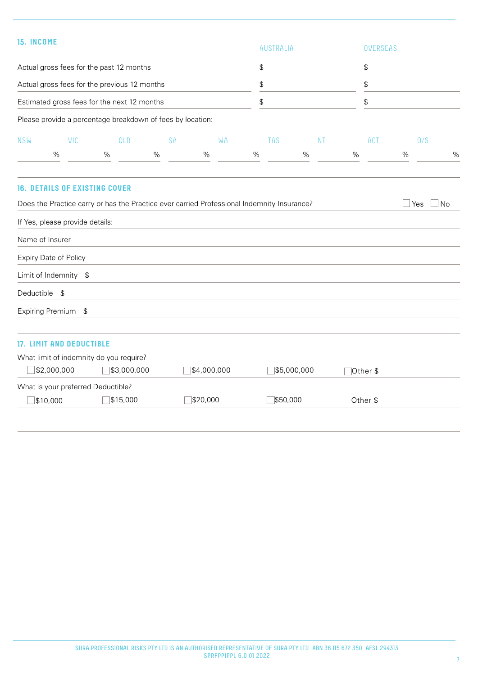| 15. INCOME |                                      |                                              |                                                                                            |             |                    | <b>AUSTRALIA</b> |           |   | OVERSEAS   |   |     |           |
|------------|--------------------------------------|----------------------------------------------|--------------------------------------------------------------------------------------------|-------------|--------------------|------------------|-----------|---|------------|---|-----|-----------|
|            |                                      | Actual gross fees for the past 12 months     |                                                                                            |             | \$                 |                  |           |   | \$         |   |     |           |
|            |                                      | Actual gross fees for the previous 12 months |                                                                                            |             | \$                 |                  |           |   | \$         |   |     |           |
|            |                                      | Estimated gross fees for the next 12 months  |                                                                                            |             | \$                 |                  |           |   | \$         |   |     |           |
|            |                                      |                                              | Please provide a percentage breakdown of fees by location:                                 |             |                    |                  |           |   |            |   |     |           |
| <b>NSW</b> | VIC<br>%                             | QLD<br>%                                     | SA<br>%                                                                                    | WA<br>%     | <b>TAS</b><br>$\%$ | %                | <b>NT</b> | % | <b>ACT</b> | % | 0/S | %         |
|            |                                      |                                              |                                                                                            |             |                    |                  |           |   |            |   |     |           |
|            | <b>16. DETAILS OF EXISTING COVER</b> |                                              | Does the Practice carry or has the Practice ever carried Professional Indemnity Insurance? |             |                    |                  |           |   |            |   | Yes | $\Box$ No |
|            | If Yes, please provide details:      |                                              |                                                                                            |             |                    |                  |           |   |            |   |     |           |
|            | Name of Insurer                      |                                              |                                                                                            |             |                    |                  |           |   |            |   |     |           |
|            | Expiry Date of Policy                |                                              |                                                                                            |             |                    |                  |           |   |            |   |     |           |
|            | Limit of Indemnity \$                |                                              |                                                                                            |             |                    |                  |           |   |            |   |     |           |
|            |                                      |                                              |                                                                                            |             |                    |                  |           |   |            |   |     |           |
|            | Deductible \$                        |                                              |                                                                                            |             |                    |                  |           |   |            |   |     |           |
|            | Expiring Premium \$                  |                                              |                                                                                            |             |                    |                  |           |   |            |   |     |           |
|            | <b>17. LIMIT AND DEDUCTIBLE</b>      |                                              |                                                                                            |             |                    |                  |           |   |            |   |     |           |
|            |                                      | What limit of indemnity do you require?      |                                                                                            |             |                    |                  |           |   |            |   |     |           |
|            | $\Box$ \$2,000,000                   | \$3,000,000                                  |                                                                                            | \$4,000,000 |                    | \$5,000,000      |           |   | Other \$   |   |     |           |
|            | What is your preferred Deductible?   |                                              |                                                                                            |             |                    |                  |           |   |            |   |     |           |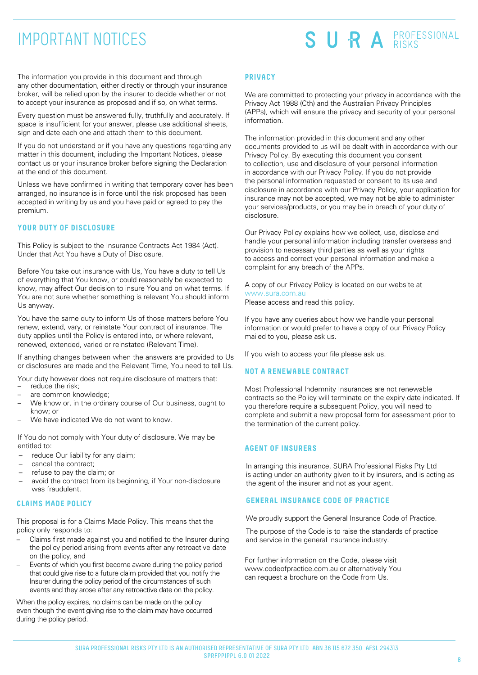## IMPORTANT NOTICES

# SURA PROFESSIONAL

The information you provide in this document and through any other documentation, either directly or through your insurance broker, will be relied upon by the insurer to decide whether or not to accept your insurance as proposed and if so, on what terms.

Every question must be answered fully, truthfully and accurately. If space is insufficient for your answer, please use additional sheets, sign and date each one and attach them to this document.

If you do not understand or if you have any questions regarding any matter in this document, including the Important Notices, please contact us or your insurance broker before signing the Declaration at the end of this document.

Unless we have confirmed in writing that temporary cover has been arranged, no insurance is in force until the risk proposed has been accepted in writing by us and you have paid or agreed to pay the premium.

#### **YOUR DUTY OF DISCLOSURE**

This Policy is subject to the Insurance Contracts Act 1984 (Act). Under that Act You have a Duty of Disclosure.

Before You take out insurance with Us, You have a duty to tell Us of everything that You know, or could reasonably be expected to know, may affect Our decision to insure You and on what terms. If You are not sure whether something is relevant You should inform Us anyway.

You have the same duty to inform Us of those matters before You renew, extend, vary, or reinstate Your contract of insurance. The duty applies until the Policy is entered into, or where relevant, renewed, extended, varied or reinstated (Relevant Time).

If anything changes between when the answers are provided to Us or disclosures are made and the Relevant Time, You need to tell Us.

Your duty however does not require disclosure of matters that: reduce the risk;

- are common knowledge;
- We know or, in the ordinary course of Our business, ought to know; or
- We have indicated We do not want to know.

If You do not comply with Your duty of disclosure, We may be entitled to:

- reduce Our liability for any claim;
- cancel the contract;
- refuse to pay the claim; or
- avoid the contract from its beginning, if Your non-disclosure was fraudulent.

#### **CLAIMS MADE POLICY**

This proposal is for a Claims Made Policy. This means that the policy only responds to:

- Claims first made against you and notified to the Insurer during the policy period arising from events after any retroactive date on the policy, and
- Events of which you first become aware during the policy period that could give rise to a future claim provided that you notify the Insurer during the policy period of the circumstances of such events and they arose after any retroactive date on the policy.

When the policy expires, no claims can be made on the policy even though the event giving rise to the claim may have occurred during the policy period.

#### **PRIVACY**

We are committed to protecting your privacy in accordance with the Privacy Act 1988 (Cth) and the Australian Privacy Principles (APPs), which will ensure the privacy and security of your personal information.

The information provided in this document and any other documents provided to us will be dealt with in accordance with our Privacy Policy. By executing this document you consent to collection, use and disclosure of your personal information in accordance with our Privacy Policy. If you do not provide the personal information requested or consent to its use and disclosure in accordance with our Privacy Policy, your application for insurance may not be accepted, we may not be able to administer your services/products, or you may be in breach of your duty of disclosure.

Our Privacy Policy explains how we collect, use, disclose and handle your personal information including transfer overseas and provision to necessary third parties as well as your rights to access and correct your personal information and make a complaint for any breach of the APPs.

A copy of our Privacy Policy is located on our website at www.sura.com.au Please access and read this policy.

If you have any queries about how we handle your personal information or would prefer to have a copy of our Privacy Policy mailed to you, please ask us.

If you wish to access your file please ask us.

#### **NOT A RENEWABLE CONTRACT**

Most Professional Indemnity Insurances are not renewable contracts so the Policy will terminate on the expiry date indicated. If you therefore require a subsequent Policy, you will need to complete and submit a new proposal form for assessment prior to the termination of the current policy.

#### **AGENT OF INSURERS**

In arranging this insurance, SURA Professional Risks Pty Ltd is acting under an authority given to it by insurers, and is acting as the agent of the insurer and not as your agent.

#### **GENERAL INSURANCE CODE OF PRACTICE**

We proudly support the General Insurance Code of Practice.

The purpose of the Code is to raise the standards of practice and service in the general insurance industry.

For further information on the Code, please visit www.codeofpractice.com.au or alternatively You can request a brochure on the Code from Us.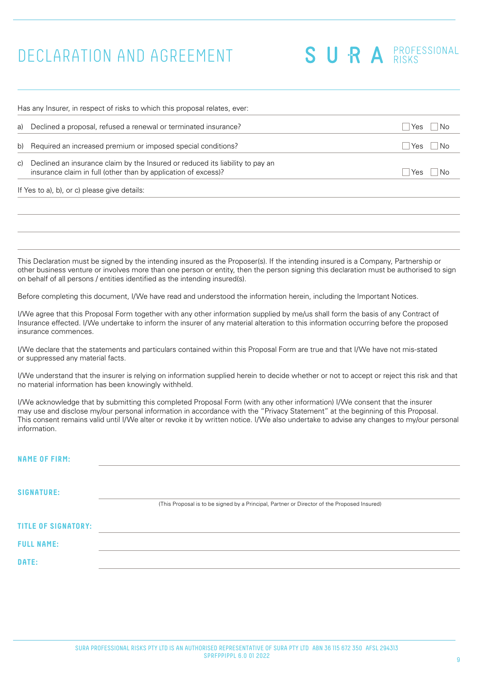## DECLARATION AND AGREEMENT

SURA PROFESSIONAL

| a) | Declined a proposal, refused a renewal or terminated insurance?                                                                                 | No<br>Yes  |
|----|-------------------------------------------------------------------------------------------------------------------------------------------------|------------|
| b) | Required an increased premium or imposed special conditions?                                                                                    | No.<br>Yes |
| C) | Declined an insurance claim by the Insured or reduced its liability to pay an<br>insurance claim in full (other than by application of excess)? | Yes<br>N٥  |
|    | If Yes to a), b), or c) please give details:                                                                                                    |            |

This Declaration must be signed by the intending insured as the Proposer(s). If the intending insured is a Company, Partnership or other business venture or involves more than one person or entity, then the person signing this declaration must be authorised to sign on behalf of all persons / entities identified as the intending insured(s).

Before completing this document, I/We have read and understood the information herein, including the Important Notices.

I/We agree that this Proposal Form together with any other information supplied by me/us shall form the basis of any Contract of Insurance effected. I/We undertake to inform the insurer of any material alteration to this information occurring before the proposed insurance commences.

I/We declare that the statements and particulars contained within this Proposal Form are true and that I/We have not mis-stated or suppressed any material facts.

I/We understand that the insurer is relying on information supplied herein to decide whether or not to accept or reject this risk and that no material information has been knowingly withheld.

I/We acknowledge that by submitting this completed Proposal Form (with any other information) I/We consent that the insurer may use and disclose my/our personal information in accordance with the "Privacy Statement" at the beginning of this Proposal. This consent remains valid until I/We alter or revoke it by written notice. I/We also undertake to advise any changes to my/our personal information.

| <b>NAME OF FIRM:</b>       |                                                                                             |
|----------------------------|---------------------------------------------------------------------------------------------|
| <b>SIGNATURE:</b>          | (This Proposal is to be signed by a Principal, Partner or Director of the Proposed Insured) |
| <b>TITLE OF SIGNATORY:</b> |                                                                                             |
| <b>FULL NAME:</b>          |                                                                                             |
| DATE:                      |                                                                                             |